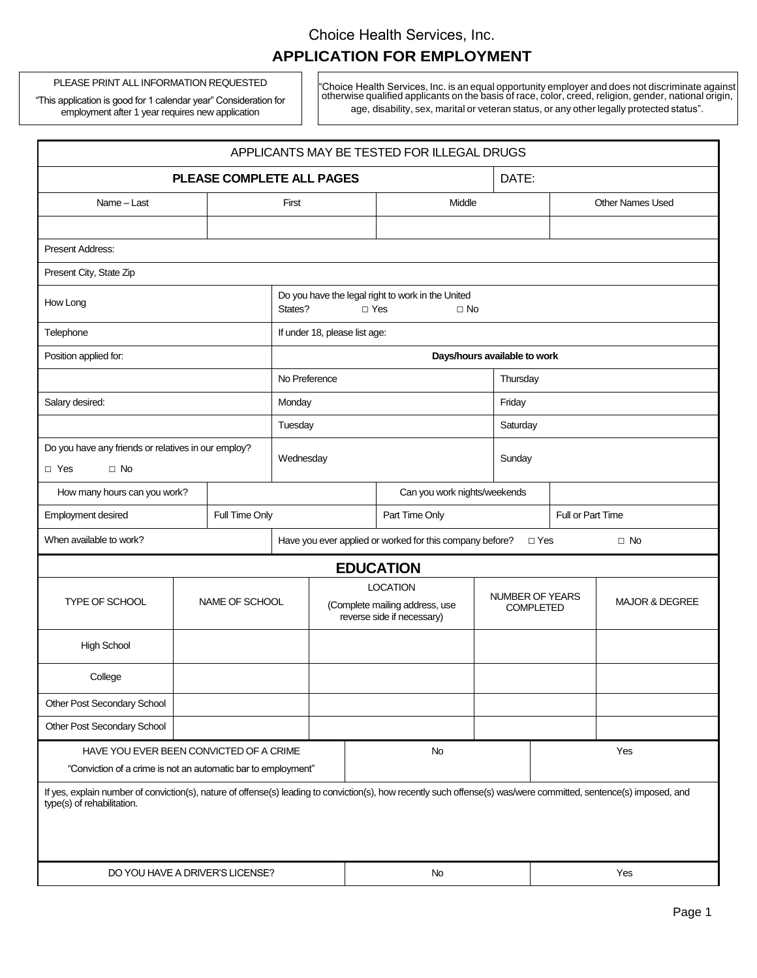# Choice Health Services, Inc. **APPLICATION FOR EMPLOYMENT**

PLEASE PRINT ALL INFORMATION REQUESTED

"This application is good for 1 calendar year" Consideration for employment after 1 year requires new application

"Choice Health Services, Inc. is an equal opportunity employer and does not discriminate against otherwise qualified applicants on the basis of race, color, creed, religion, gender, national origin, age, disability, sex, marital or veteran status, or any other legally protected status".

| APPLICANTS MAY BE TESTED FOR ILLEGAL DRUGS                                                                                                                                                      |                |                              |                                                                                         |                                                                                 |       |                  |                                            |                         |                           |                   |  |
|-------------------------------------------------------------------------------------------------------------------------------------------------------------------------------------------------|----------------|------------------------------|-----------------------------------------------------------------------------------------|---------------------------------------------------------------------------------|-------|------------------|--------------------------------------------|-------------------------|---------------------------|-------------------|--|
| <b>PLEASE COMPLETE ALL PAGES</b>                                                                                                                                                                |                |                              |                                                                                         |                                                                                 | DATE: |                  |                                            |                         |                           |                   |  |
| Name - Last                                                                                                                                                                                     |                |                              | First                                                                                   |                                                                                 |       | Middle           |                                            | <b>Other Names Used</b> |                           |                   |  |
|                                                                                                                                                                                                 |                |                              |                                                                                         |                                                                                 |       |                  |                                            |                         |                           |                   |  |
| Present Address:                                                                                                                                                                                |                |                              |                                                                                         |                                                                                 |       |                  |                                            |                         |                           |                   |  |
| Present City, State Zip                                                                                                                                                                         |                |                              |                                                                                         |                                                                                 |       |                  |                                            |                         |                           |                   |  |
| How Long                                                                                                                                                                                        |                |                              | Do you have the legal right to work in the United<br>States?<br>$\Box$ Yes<br>$\Box$ No |                                                                                 |       |                  |                                            |                         |                           |                   |  |
| Telephone                                                                                                                                                                                       |                |                              | If under 18, please list age:                                                           |                                                                                 |       |                  |                                            |                         |                           |                   |  |
| Position applied for:                                                                                                                                                                           |                |                              | Days/hours available to work                                                            |                                                                                 |       |                  |                                            |                         |                           |                   |  |
|                                                                                                                                                                                                 |                |                              | No Preference                                                                           |                                                                                 |       |                  |                                            | Thursday                |                           |                   |  |
| Salary desired:                                                                                                                                                                                 |                |                              | Monday                                                                                  |                                                                                 |       |                  |                                            | Friday                  |                           |                   |  |
|                                                                                                                                                                                                 |                |                              | Tuesday                                                                                 |                                                                                 |       |                  |                                            | Saturday                |                           |                   |  |
| Do you have any friends or relatives in our employ?<br>$\Box$ No<br>$\Box$ Yes                                                                                                                  |                |                              | Wednesday                                                                               |                                                                                 |       |                  | Sunday                                     |                         |                           |                   |  |
| How many hours can you work?                                                                                                                                                                    |                | Can you work nights/weekends |                                                                                         |                                                                                 |       |                  |                                            |                         |                           |                   |  |
| Employment desired                                                                                                                                                                              | Full Time Only |                              |                                                                                         |                                                                                 |       | Part Time Only   |                                            |                         |                           | Full or Part Time |  |
| When available to work?                                                                                                                                                                         |                |                              | Have you ever applied or worked for this company before?                                |                                                                                 |       |                  | $\square$ Yes<br>$\square$ No              |                         |                           |                   |  |
|                                                                                                                                                                                                 |                |                              |                                                                                         |                                                                                 |       | <b>EDUCATION</b> |                                            |                         |                           |                   |  |
| TYPE OF SCHOOL                                                                                                                                                                                  |                | NAME OF SCHOOL               |                                                                                         | <b>LOCATION</b><br>(Complete mailing address, use<br>reverse side if necessary) |       |                  | <b>NUMBER OF YEARS</b><br><b>COMPLETED</b> |                         | <b>MAJOR &amp; DEGREE</b> |                   |  |
| <b>High School</b>                                                                                                                                                                              |                |                              |                                                                                         |                                                                                 |       |                  |                                            |                         |                           |                   |  |
| College                                                                                                                                                                                         |                |                              |                                                                                         |                                                                                 |       |                  |                                            |                         |                           |                   |  |
| Other Post Secondary School                                                                                                                                                                     |                |                              |                                                                                         |                                                                                 |       |                  |                                            |                         |                           |                   |  |
| Other Post Secondary School                                                                                                                                                                     |                |                              |                                                                                         |                                                                                 |       |                  |                                            |                         |                           |                   |  |
| HAVE YOU EVER BEEN CONVICTED OF A CRIME                                                                                                                                                         |                |                              |                                                                                         |                                                                                 | No    |                  |                                            | Yes                     |                           |                   |  |
| "Conviction of a crime is not an automatic bar to employment"                                                                                                                                   |                |                              |                                                                                         |                                                                                 |       |                  |                                            |                         |                           |                   |  |
| If yes, explain number of conviction(s), nature of offense(s) leading to conviction(s), how recently such offense(s) was/were committed, sentence(s) imposed, and<br>type(s) of rehabilitation. |                |                              |                                                                                         |                                                                                 |       |                  |                                            |                         |                           |                   |  |
| DO YOU HAVE A DRIVER'S LICENSE?                                                                                                                                                                 |                |                              |                                                                                         |                                                                                 | No    |                  |                                            | Yes                     |                           |                   |  |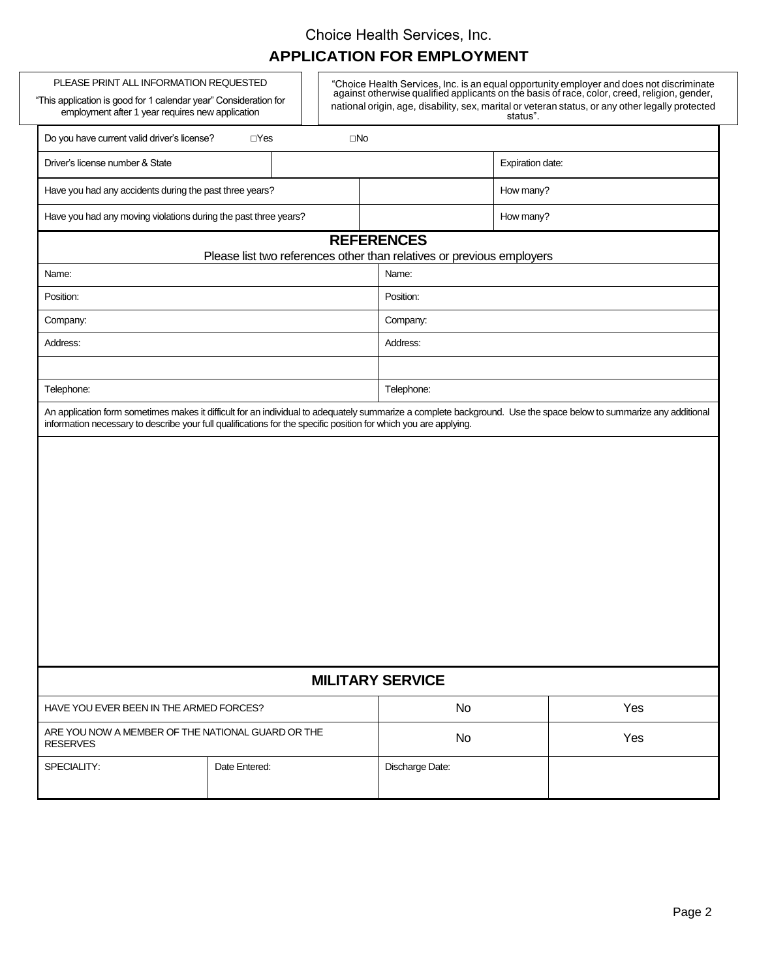#### Choice Health Services, Inc.

# **APPLICATION FOR EMPLOYMENT**

| PLEASE PRINT ALL INFORMATION REQUESTED<br>"This application is good for 1 calendar year" Consideration for<br>employment after 1 year requires new application |                                                                                |              | "Choice Health Services, Inc. is an equal opportunity employer and does not discriminate against otherwise qualified applicants on the basis of race, color, creed, religion, gender,<br>national origin, age, disability, sex, marital or veteran status, or any other legally protected<br>status". |                  |  |  |  |
|----------------------------------------------------------------------------------------------------------------------------------------------------------------|--------------------------------------------------------------------------------|--------------|-------------------------------------------------------------------------------------------------------------------------------------------------------------------------------------------------------------------------------------------------------------------------------------------------------|------------------|--|--|--|
| Do you have current valid driver's license?                                                                                                                    | $\Box$ Yes                                                                     | $\square$ No |                                                                                                                                                                                                                                                                                                       |                  |  |  |  |
| Driver's license number & State                                                                                                                                |                                                                                |              |                                                                                                                                                                                                                                                                                                       | Expiration date: |  |  |  |
| Have you had any accidents during the past three years?                                                                                                        |                                                                                |              |                                                                                                                                                                                                                                                                                                       | How many?        |  |  |  |
| Have you had any moving violations during the past three years?                                                                                                |                                                                                |              |                                                                                                                                                                                                                                                                                                       | How many?        |  |  |  |
| <b>REFERENCES</b>                                                                                                                                              |                                                                                |              |                                                                                                                                                                                                                                                                                                       |                  |  |  |  |
| Name:                                                                                                                                                          | Please list two references other than relatives or previous employers<br>Name: |              |                                                                                                                                                                                                                                                                                                       |                  |  |  |  |
| Position:                                                                                                                                                      |                                                                                |              | Position:                                                                                                                                                                                                                                                                                             |                  |  |  |  |
| Company:                                                                                                                                                       |                                                                                |              | Company:                                                                                                                                                                                                                                                                                              |                  |  |  |  |
| Address:                                                                                                                                                       |                                                                                |              | Address:                                                                                                                                                                                                                                                                                              |                  |  |  |  |
|                                                                                                                                                                |                                                                                |              |                                                                                                                                                                                                                                                                                                       |                  |  |  |  |
| Telephone:                                                                                                                                                     |                                                                                |              | Telephone:                                                                                                                                                                                                                                                                                            |                  |  |  |  |
|                                                                                                                                                                |                                                                                |              |                                                                                                                                                                                                                                                                                                       |                  |  |  |  |
| <b>MILITARY SERVICE</b>                                                                                                                                        |                                                                                |              |                                                                                                                                                                                                                                                                                                       |                  |  |  |  |
| HAVE YOU EVER BEEN IN THE ARMED FORCES?                                                                                                                        |                                                                                |              | No.                                                                                                                                                                                                                                                                                                   | Yes              |  |  |  |
| ARE YOU NOW A MEMBER OF THE NATIONAL GUARD OR THE<br><b>RESERVES</b>                                                                                           |                                                                                |              | No                                                                                                                                                                                                                                                                                                    | Yes              |  |  |  |
| SPECIALITY:                                                                                                                                                    | Date Entered:                                                                  |              | Discharge Date:                                                                                                                                                                                                                                                                                       |                  |  |  |  |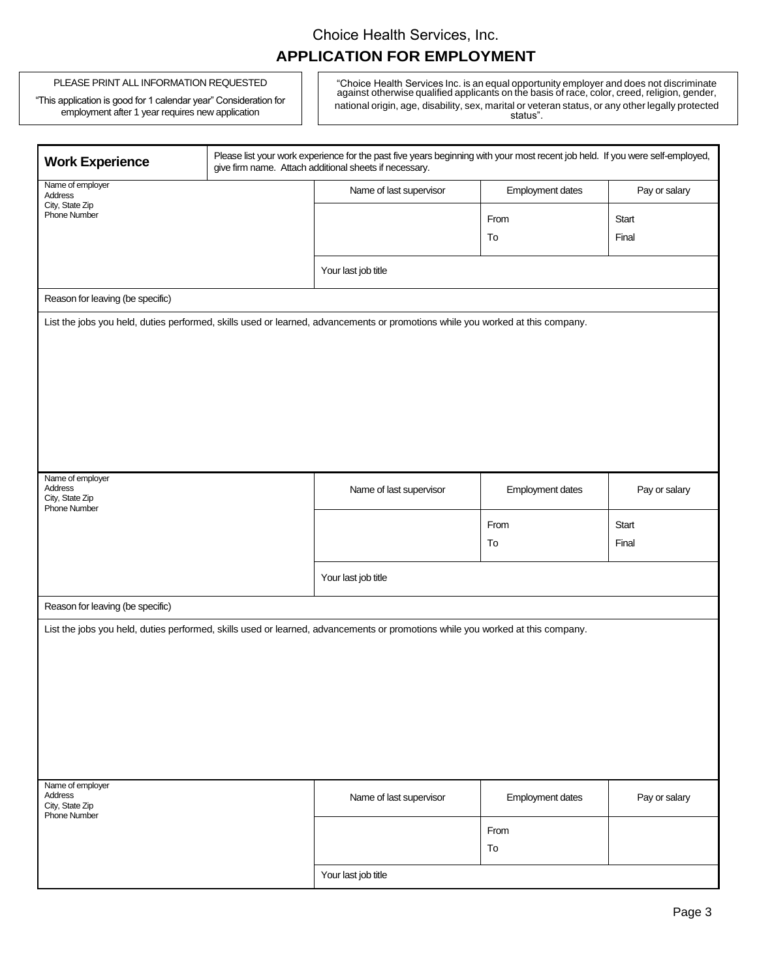# Choice Health Services, Inc. **APPLICATION FOR EMPLOYMENT**

#### PLEASE PRINT ALL INFORMATION REQUESTED

"This application is good for 1 calendar year" Consideration for employment after 1 year requires new application

"Choice Health Services Inc. is an equal opportunity employer and does not discriminate against otherwise qualified applicants on the basis of race, color, creed, religion, gender, national origin, age, disability, sex, marital or veteran status, or any other legally protected status".

| <b>Work Experience</b>                                                       | Please list your work experience for the past five years beginning with your most recent job held. If you were self-employed,<br>give firm name. Attach additional sheets if necessary. |                         |               |  |  |  |
|------------------------------------------------------------------------------|-----------------------------------------------------------------------------------------------------------------------------------------------------------------------------------------|-------------------------|---------------|--|--|--|
| Name of employer<br>Address                                                  | Name of last supervisor                                                                                                                                                                 | Employment dates        | Pay or salary |  |  |  |
| City, State Zip<br>Phone Number                                              |                                                                                                                                                                                         | From                    | Start         |  |  |  |
|                                                                              |                                                                                                                                                                                         | To                      | Final         |  |  |  |
|                                                                              |                                                                                                                                                                                         |                         |               |  |  |  |
|                                                                              | Your last job title                                                                                                                                                                     |                         |               |  |  |  |
| Reason for leaving (be specific)                                             |                                                                                                                                                                                         |                         |               |  |  |  |
|                                                                              | List the jobs you held, duties performed, skills used or learned, advancements or promotions while you worked at this company.                                                          |                         |               |  |  |  |
| Name of employer<br>Address<br>City, State Zip<br><b>Phone Number</b>        | Name of last supervisor                                                                                                                                                                 | Employment dates        | Pay or salary |  |  |  |
|                                                                              |                                                                                                                                                                                         | From                    | Start         |  |  |  |
|                                                                              |                                                                                                                                                                                         |                         |               |  |  |  |
|                                                                              |                                                                                                                                                                                         | To                      | Final         |  |  |  |
|                                                                              | Your last job title                                                                                                                                                                     |                         |               |  |  |  |
| Reason for leaving (be specific)                                             |                                                                                                                                                                                         |                         |               |  |  |  |
|                                                                              | List the jobs you held, duties performed, skills used or learned, advancements or promotions while you worked at this company.                                                          |                         |               |  |  |  |
|                                                                              |                                                                                                                                                                                         |                         |               |  |  |  |
| Name of employer<br><b>Address</b><br>City, State Zip<br><b>Phone Number</b> | Name of last supervisor                                                                                                                                                                 | <b>Employment dates</b> | Pay or salary |  |  |  |
|                                                                              |                                                                                                                                                                                         | From<br>To              |               |  |  |  |